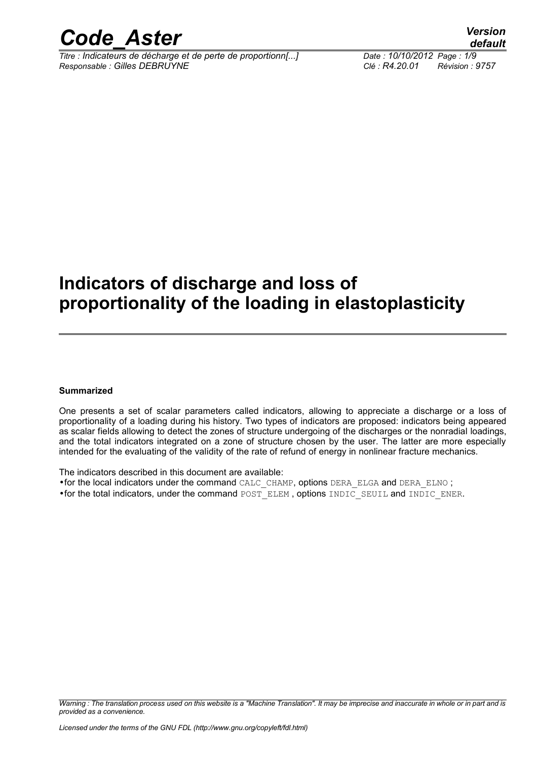

*Titre : Indicateurs de décharge et de perte de proportionn[...] Date : 10/10/2012 Page : 1/9 Responsable : Gilles DEBRUYNE Clé : R4.20.01 Révision : 9757*

# **Indicators of discharge and loss of proportionality of the loading in elastoplasticity**

#### **Summarized**

One presents a set of scalar parameters called indicators, allowing to appreciate a discharge or a loss of proportionality of a loading during his history. Two types of indicators are proposed: indicators being appeared as scalar fields allowing to detect the zones of structure undergoing of the discharges or the nonradial loadings, and the total indicators integrated on a zone of structure chosen by the user. The latter are more especially intended for the evaluating of the validity of the rate of refund of energy in nonlinear fracture mechanics.

The indicators described in this document are available: •for the local indicators under the command CALC\_CHAMP, options DERA\_ELGA and DERA\_ELNO ; •for the total indicators, under the command POST\_ELEM , options INDIC\_SEUIL and INDIC\_ENER.

*Warning : The translation process used on this website is a "Machine Translation". It may be imprecise and inaccurate in whole or in part and is provided as a convenience.*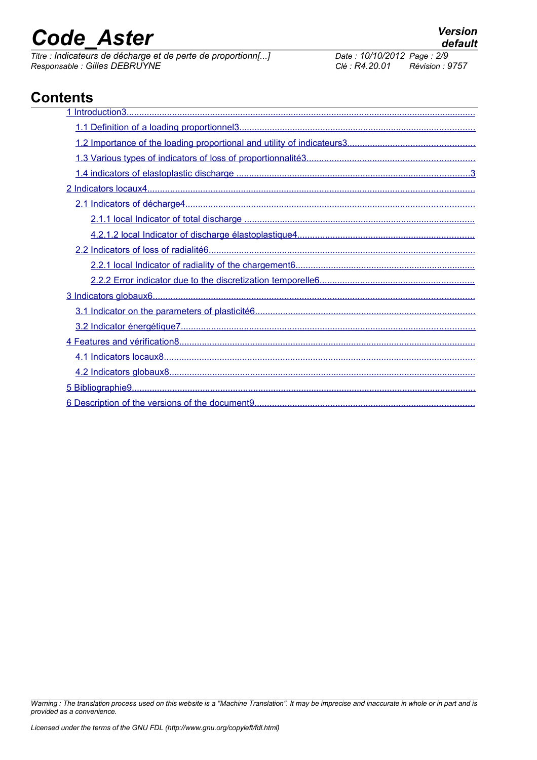# *Code* Aster *Version*<br>Titre : Indicateurs de décharge et de perte de proportionn[...] Date : 10/10/2012 Page : 2/9

*Titre : Indicateurs de décharge et de perte de proportionn[...] Date : 10/10/2012 Page : 2/9 Responsable : Gilles DEBRUYNE Clé : R4.20.01 Révision : 9757*

# **Contents**

*Warning : The translation process used on this website is a "Machine Translation". It may be imprecise and inaccurate in whole or in part and is provided as a convenience.*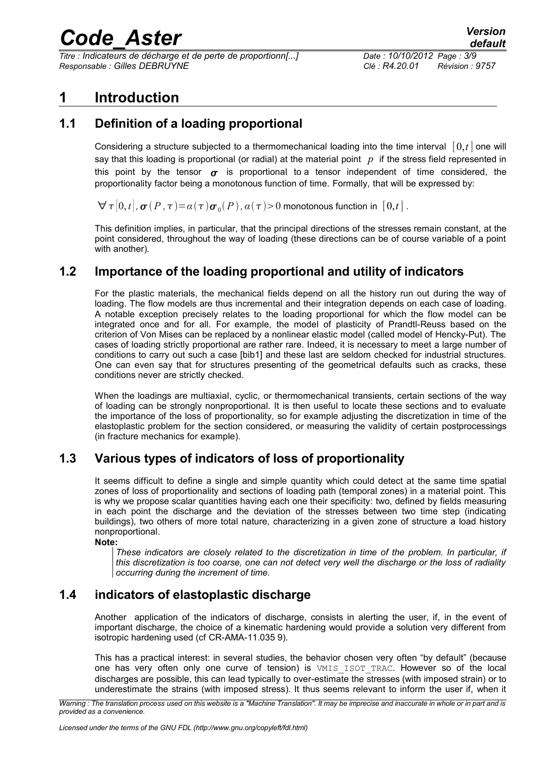*Titre : Indicateurs de décharge et de perte de proportionn[...] Date : 10/10/2012 Page : 3/9 Responsable : Gilles DEBRUYNE Clé : R4.20.01 Révision : 9757*

## <span id="page-2-0"></span>**1 Introduction**

### **1.1 Definition of a loading proportional**

<span id="page-2-4"></span>Considering a structure subjected to a thermomechanical loading into the time interval  $[0,t]$  one will say that this loading is proportional (or radial) at the material point *p* if the stress field represented in this point by the tensor  $\sigma$  is proportional to a tensor independent of time considered, the proportionality factor being a monotonous function of time. Formally, that will be expressed by:

 $\forall$   $\tau$   $[0,t]$  ,  $\bm{\sigma}$   $(P$  ,  $\tau$   $)=$   $a$   $(\tau)$   $\bm{\sigma}$   $_0(P)$  ,  $a$   $(\tau)$   $>$   $0$  monotonous function in  $\,[\,0,t\,]$  .

This definition implies, in particular, that the principal directions of the stresses remain constant, at the point considered, throughout the way of loading (these directions can be of course variable of a point with another).

#### **1.2 Importance of the loading proportional and utility of indicators**

<span id="page-2-3"></span>For the plastic materials, the mechanical fields depend on all the history run out during the way of loading. The flow models are thus incremental and their integration depends on each case of loading. A notable exception precisely relates to the loading proportional for which the flow model can be integrated once and for all. For example, the model of plasticity of Prandtl-Reuss based on the criterion of Von Mises can be replaced by a nonlinear elastic model (called model of Hencky-Put). The cases of loading strictly proportional are rather rare. Indeed, it is necessary to meet a large number of conditions to carry out such a case [bib1] and these last are seldom checked for industrial structures. One can even say that for structures presenting of the geometrical defaults such as cracks, these conditions never are strictly checked.

When the loadings are multiaxial, cyclic, or thermomechanical transients, certain sections of the way of loading can be strongly nonproportional. It is then useful to locate these sections and to evaluate the importance of the loss of proportionality, so for example adjusting the discretization in time of the elastoplastic problem for the section considered, or measuring the validity of certain postprocessings (in fracture mechanics for example).

### **1.3 Various types of indicators of loss of proportionality**

<span id="page-2-2"></span>It seems difficult to define a single and simple quantity which could detect at the same time spatial zones of loss of proportionality and sections of loading path (temporal zones) in a material point. This is why we propose scalar quantities having each one their specificity: two, defined by fields measuring in each point the discharge and the deviation of the stresses between two time step (indicating buildings), two others of more total nature, characterizing in a given zone of structure a load history nonproportional.

**Note:**

*These indicators are closely related to the discretization in time of the problem. In particular, if this discretization is too coarse, one can not detect very well the discharge or the loss of radiality occurring during the increment of time.*

#### **1.4 indicators of elastoplastic discharge**

<span id="page-2-1"></span>Another application of the indicators of discharge, consists in alerting the user, if, in the event of important discharge, the choice of a kinematic hardening would provide a solution very different from isotropic hardening used (cf CR-AMA-11.035 [9\)](#page-8-3).

This has a practical interest: in several studies, the behavior chosen very often "by default" (because one has very often only one curve of tension) is VMIS\_ISOT\_TRAC. However so of the local discharges are possible, this can lead typically to over-estimate the stresses (with imposed strain) or to underestimate the strains (with imposed stress). It thus seems relevant to inform the user if, when it

*Warning : The translation process used on this website is a "Machine Translation". It may be imprecise and inaccurate in whole or in part and is provided as a convenience.*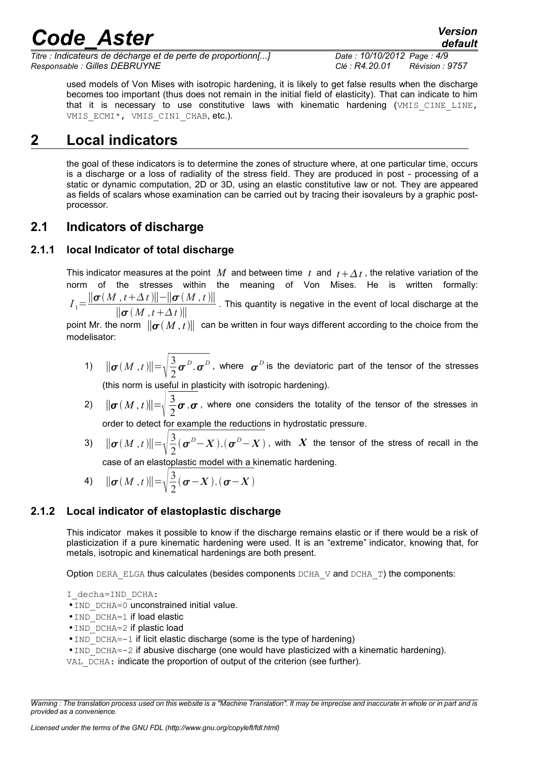*Titre : Indicateurs de décharge et de perte de proportionn[...] Date : 10/10/2012 Page : 4/9 Responsable : Gilles DEBRUYNE Clé : R4.20.01 Révision : 9757*

used models of Von Mises with isotropic hardening, it is likely to get false results when the discharge becomes too important (thus does not remain in the initial field of elasticity). That can indicate to him that it is necessary to use constitutive laws with kinematic hardening  $(\forall MIS\subset INELLINE,$ VMIS ECMI\*, VMIS CIN1 CHAB, etc.).

# **2 Local indicators**

<span id="page-3-3"></span>the goal of these indicators is to determine the zones of structure where, at one particular time, occurs is a discharge or a loss of radiality of the stress field. They are produced in post - processing of a static or dynamic computation, 2D or 3D, using an elastic constitutive law or not. They are appeared as fields of scalars whose examination can be carried out by tracing their isovaleurs by a graphic postprocessor.

### <span id="page-3-2"></span>**2.1 Indicators of discharge**

#### **2.1.1 local Indicator of total discharge**

<span id="page-3-1"></span>This indicator measures at the point M and between time t and  $t + \Delta t$ , the relative variation of the norm of the stresses within the meaning of Von Mises. He is written formally:

 $I_1 = \frac{\|\boldsymbol{\sigma}(M, t + \Delta t)\| - \|\boldsymbol{\sigma}(M, t)\|}{\| \|\boldsymbol{\sigma}(M, t + \Delta t)\|}$  $\frac{d}{d}$  *M*  $\frac{d}{d}$  *M*  $\frac{d}{d}$  *M*  $\frac{d}{d}$  *(intity is negative in the event of local discharge at the*  $\frac{d}{d}$  $\sigma(M, t+\Delta t)$ *)* 

point Mr. the norm  $\|\sigma(M, t)\|$  can be written in four ways different according to the choice from the modelisator:

- 1)  $\|\sigma(M,t)\| = \sqrt{\frac{3}{2}}$ 2  $\boldsymbol{\sigma}^{\scriptscriptstyle D}$ .  $\boldsymbol{\sigma}^{\scriptscriptstyle D}$  , where  $\,\boldsymbol{\sigma}^{\scriptscriptstyle D}$  is the deviatoric part of the tensor of the stresses (this norm is useful in plasticity with isotropic hardening).
- 2)  $\|\boldsymbol{\sigma}(M,t)\| =$  $\vert$  2 3 2  $\sigma$  .  $\sigma$  , where one considers the totality of the tensor of the stresses in order to detect for example the reductions in hydrostatic pressure.
- 3)  $\|\sigma(M,t)\| = \sqrt{\frac{3}{2}}$ 2  $(\boldsymbol{\sigma}^D\!-\!X)$ . $(\boldsymbol{\sigma}^D\!-\!X)$  , with  $\,X\,$  the tensor of the stress of recall in the case of an elastoplastic model with a kinematic hardening.

4) 
$$
\|\boldsymbol{\sigma}(M,t)\| = \sqrt{\frac{3}{2}(\boldsymbol{\sigma}-X).(\boldsymbol{\sigma}-X)}
$$

#### **2.1.2 Local indicator of elastoplastic discharge**

<span id="page-3-0"></span>This indicator makes it possible to know if the discharge remains elastic or if there would be a risk of plasticization if a pure kinematic hardening were used. It is an "extreme" indicator, knowing that, for metals, isotropic and kinematical hardenings are both present.

Option DERA ELGA thus calculates (besides components DCHA  $V$  and DCHA  $T$ ) the components:

I\_decha=IND\_DCHA:

- IND DCHA=0 unconstrained initial value.
- IND DCHA=1 if load elastic
- IND DCHA=2 if plastic load
- IND DCHA=-1 if licit elastic discharge (some is the type of hardening)
- $\bullet$  IND DCHA=-2 if abusive discharge (one would have plasticized with a kinematic hardening).

VAL DCHA: indicate the proportion of output of the criterion (see further).

*Warning : The translation process used on this website is a "Machine Translation". It may be imprecise and inaccurate in whole or in part and is provided as a convenience.*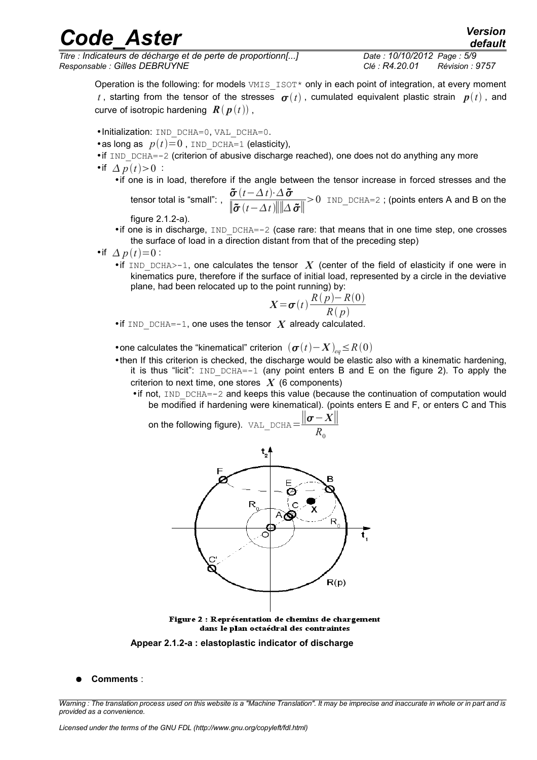*Titre : Indicateurs de décharge et de perte de proportionn[...] Date : 10/10/2012 Page : 5/9 Responsable : Gilles DEBRUYNE Clé : R4.20.01 Révision : 9757*

*default*

Operation is the following: for models VMIS ISOT\* only in each point of integration, at every moment *t*, starting from the tensor of the stresses  $\boldsymbol{\sigma}(t)$ , cumulated equivalent plastic strain  $\boldsymbol{p}(t)$ , and curve of isotropic hardening  $\mathbf{R}(\mathbf{p}(t))$ ,

- •Initialization: IND\_DCHA=0, VAL\_DCHA=0.
- •as long as  $p(t)=0$ , IND DCHA=1 (elasticity),

 $\bullet$  if IND DCHA=-2 (criterion of abusive discharge reached), one does not do anything any more •if  $\Delta p(t) > 0$ :

•if one is in load, therefore if the angle between the tensor increase in forced stresses and the

tensor total is "small": ,  $\frac{\boldsymbol{\tilde{\sigma}}\left(t - \Delta\,t\right) \cdot \Delta\, \boldsymbol{\tilde{\sigma}}}{\|x\|_{\infty}$  $\|\boldsymbol{\tilde{\sigma}}(t-\Delta t)\|$ | $\Delta \boldsymbol{\tilde{\sigma}}$ ||  $>0$  IND DCHA=2 ; (points enters A and B on the

figure [2.1.2-a\)](#page-4-0).

- if one is in discharge,  $IND$   $DCHA=-2$  (case rare: that means that in one time step, one crosses the surface of load in a direction distant from that of the preceding step)
- •if  $\Delta p(t)=0$ :
	- if IND DCHA $>$ -1, one calculates the tensor  $\boldsymbol{X}$  (center of the field of elasticity if one were in kinematics pure, therefore if the surface of initial load, represented by a circle in the deviative plane, had been relocated up to the point running) by:

$$
X = \sigma(t) \frac{R(p) - R(0)}{R(p)}
$$

• if IND DCHA=-1, one uses the tensor  $\boldsymbol{X}$  already calculated.

• one calculates the "kinematical" criterion  $(\boldsymbol{\sigma}(t)-\boldsymbol{X})_{eq}\leq R(0)$ 

- •then If this criterion is checked, the discharge would be elastic also with a kinematic hardening, it is thus "licit":  $IND$   $DCHA=-1$  (any point enters B and E on the figure 2). To apply the criterion to next time, one stores *X* (6 components)
	- $\bullet$  if not, IND DCHA=-2 and keeps this value (because the continuation of computation would be modified if hardening were kinematical). (points enters E and F, or enters C and This

on the following figure).  $VAL$   $DCHA=$ ∥−*X*∥  $R_0$ 



<span id="page-4-0"></span>Figure 2 : Représentation de chemins de chargement dans le plan octaédral des contraintes

**Appear 2.1.2-a : elastoplastic indicator of discharge**

● **Comments** :

*Warning : The translation process used on this website is a "Machine Translation". It may be imprecise and inaccurate in whole or in part and is provided as a convenience.*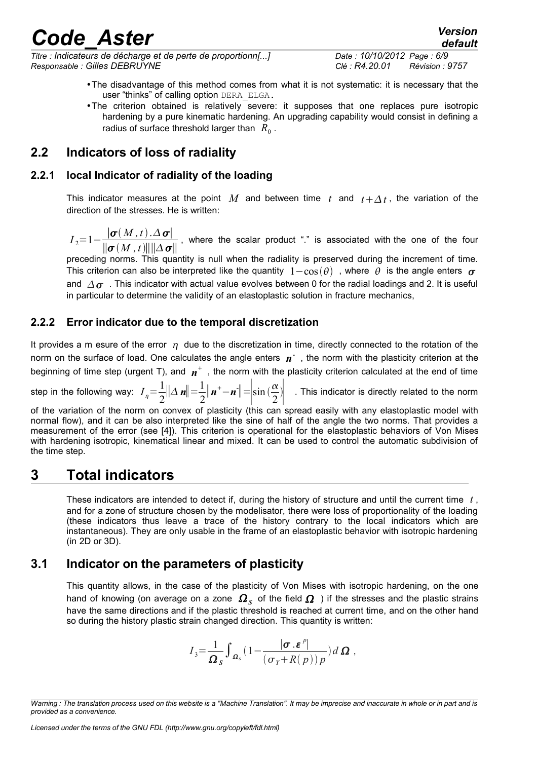*Titre : Indicateurs de décharge et de perte de proportionn[...] Date : 10/10/2012 Page : 6/9 Responsable : Gilles DEBRUYNE Clé : R4.20.01 Révision : 9757*

- •The disadvantage of this method comes from what it is not systematic: it is necessary that the user "thinks" of calling option DERA\_ELGA.
- •The criterion obtained is relatively severe: it supposes that one replaces pure isotropic hardening by a pure kinematic hardening. An upgrading capability would consist in defining a radius of surface threshold larger than  $\ R_{0}$  .

### <span id="page-5-4"></span>**2.2 Indicators of loss of radiality**

#### **2.2.1 local Indicator of radiality of the loading**

<span id="page-5-3"></span>This indicator measures at the point M and between time t and  $t + \Delta t$ , the variation of the direction of the stresses. He is written:

 $I_2=1-\frac{|\boldsymbol{\sigma}(M,t)|}{\ln |M|}$  $\frac{|\phi(\Delta x, y)| \leq |\phi(\Delta x, z)|}{\|\phi(M, t)\| \|\Delta \phi\|}$ , where the scalar product "." is associated with the one of the four

preceding norms. This quantity is null when the radiality is preserved during the increment of time. This criterion can also be interpreted like the quantity  $1-\cos(\theta)$ , where  $\theta$  is the angle enters  $\sigma$ and  $\Delta \sigma$ . This indicator with actual value evolves between 0 for the radial loadings and 2. It is useful in particular to determine the validity of an elastoplastic solution in fracture mechanics,

#### <span id="page-5-2"></span>**2.2.2 Error indicator due to the temporal discretization**

It provides a m esure of the error  $\eta$  due to the discretization in time, directly connected to the rotation of the norm on the surface of load. One calculates the angle enters  $n^{-}$ , the norm with the plasticity criterion at the beginning of time step (urgent T), and  $n^+$  , the norm with the plasticity criterion calculated at the end of time

step in the following way:  $I_{\eta} = \frac{1}{2}$ 2  $\|\Delta\mathbf{n}\|=\frac{1}{2}$ 2  $\|\boldsymbol{n}^+ - \boldsymbol{n}^-\|$ = $\left|\sin\left(\frac{\alpha}{2}\right)\right|$  $\left| \frac{\alpha}{2} \right|$  . This indicator is directly related to the norm

of the variation of the norm on convex of plasticity (this can spread easily with any elastoplastic model with normal flow), and it can be also interpreted like the sine of half of the angle the two norms. That provides a measurement of the error (see [4]). This criterion is operational for the elastoplastic behaviors of Von Mises with hardening isotropic, kinematical linear and mixed. It can be used to control the automatic subdivision of the time step.

# **3 Total indicators**

<span id="page-5-1"></span>These indicators are intended to detect if, during the history of structure and until the current time *t* , and for a zone of structure chosen by the modelisator, there were loss of proportionality of the loading (these indicators thus leave a trace of the history contrary to the local indicators which are instantaneous). They are only usable in the frame of an elastoplastic behavior with isotropic hardening (in 2D or 3D).

#### **3.1 Indicator on the parameters of plasticity**

<span id="page-5-0"></span>This quantity allows, in the case of the plasticity of Von Mises with isotropic hardening, on the one hand of knowing (on average on a zone  $\,\varOmega_{\,S}\,$  of the field  $\varOmega\,$  ) if the stresses and the plastic strains have the same directions and if the plastic threshold is reached at current time, and on the other hand so during the history plastic strain changed direction. This quantity is written:

$$
I_3 = \frac{1}{\Omega_s} \int_{\Omega_s} \left(1 - \frac{|\boldsymbol{\sigma} . \boldsymbol{\varepsilon}^p|}{\left(\sigma_Y + R(p)\right)p}\right) d\Omega ,
$$

*Warning : The translation process used on this website is a "Machine Translation". It may be imprecise and inaccurate in whole or in part and is provided as a convenience.*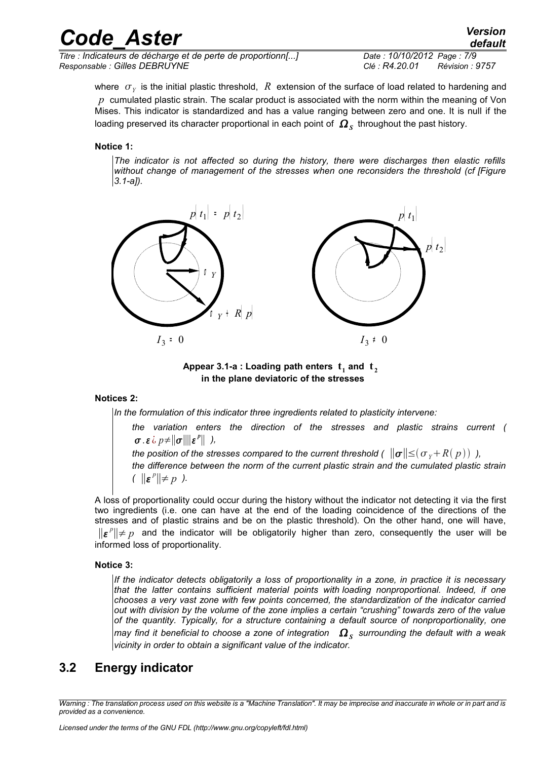| <b>Code Aster</b>                                            | <b>Version</b><br>default  |
|--------------------------------------------------------------|----------------------------|
| Titre : Indicateurs de décharge et de perte de proportionn[] | Date: 10/10/2012 Page: 7/9 |

*Responsable : Gilles DEBRUYNE Clé : R4.20.01 Révision : 9757*

where  $\; \sigma_{_Y} \;$  is the initial plastic threshold,  $\; R \;$  extension of the surface of load related to hardening and *p* cumulated plastic strain. The scalar product is associated with the norm within the meaning of Von Mises. This indicator is standardized and has a value ranging between zero and one. It is null if the loading preserved its character proportional in each point of  $\,\mathit{\Omega}_s\,$  throughout the past history.

#### **Notice 1:**

*The indicator is not affected so during the history, there were discharges then elastic refills without change of management of the stresses when one reconsiders the threshold (cf [Figure 3.1-a]).*



Appear 3.1-a : Loading path enters  $\mathbf{t}_1$  and  $\mathbf{t}_2$ **in the plane deviatoric of the stresses**

#### **Notices 2:**

*In the formulation of this indicator three ingredients related to plasticity intervene:* 

*the variation enters the direction of the stresses and plastic strains current (*  $\sigma$ .  $\varepsilon$   $\omega$   $p \neq ||\sigma|| ||\varepsilon^p||$  ),

*the position of the stresses compared to the current threshold (*  $||\boldsymbol{\sigma}|| \leq ( \sigma_y + R(p))$  ), *the difference between the norm of the current plastic strain and the cumulated plastic strain*  $($   $||\boldsymbol{\varepsilon}^p|| \neq p$  ).

A loss of proportionality could occur during the history without the indicator not detecting it via the first two ingredients (i.e. one can have at the end of the loading coincidence of the directions of the stresses and of plastic strains and be on the plastic threshold). On the other hand, one will have, ∥ *p* ∥≠ *p* and the indicator will be obligatorily higher than zero, consequently the user will be informed loss of proportionality.

#### **Notice 3:**

*If the indicator detects obligatorily a loss of proportionality in a zone, in practice it is necessary that the latter contains sufficient material points with loading nonproportional. Indeed, if one chooses a very vast zone with few points concerned, the standardization of the indicator carried out with division by the volume of the zone implies a certain "crushing" towards zero of the value of the quantity. Typically, for a structure containing a default source of nonproportionality, one* may find it beneficial to choose a zone of integration  $\;\Omega_{_S}\;$  surrounding the default with a weak *vicinity in order to obtain a significant value of the indicator.*

### <span id="page-6-0"></span>**3.2 Energy indicator**

*Warning : The translation process used on this website is a "Machine Translation". It may be imprecise and inaccurate in whole or in part and is provided as a convenience.*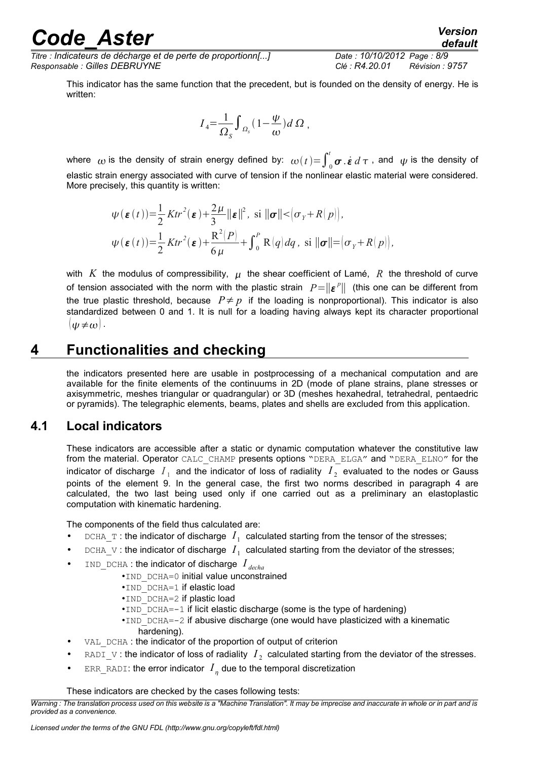*Titre : Indicateurs de décharge et de perte de proportionn[...] Date : 10/10/2012 Page : 8/9 Responsable : Gilles DEBRUYNE Clé : R4.20.01 Révision : 9757*

This indicator has the same function that the precedent, but is founded on the density of energy. He is written:

$$
I_4 = \frac{1}{\Omega_s} \int_{\Omega_s} (1 - \frac{\psi}{\omega}) d\Omega,
$$

where  $\omega$  is the density of strain energy defined by:  $\omega(t){=}\int_0^t\!\bm{\sigma}$   $\dot{\bm{\epsilon}}$   $d\,\tau$  , and  $\,\psi$  is the density of elastic strain energy associated with curve of tension if the nonlinear elastic material were considered. More precisely, this quantity is written:

$$
\psi(\boldsymbol{\varepsilon}(t)) = \frac{1}{2} Ktr^2(\boldsymbol{\varepsilon}) + \frac{2\mu}{3} ||\boldsymbol{\varepsilon}||^2, \text{ si } ||\boldsymbol{\sigma}|| < (\sigma_Y + R(p)),
$$
  

$$
\psi(\boldsymbol{\varepsilon}(t)) = \frac{1}{2} Ktr^2(\boldsymbol{\varepsilon}) + \frac{R^2(P)}{6\mu} + \int_0^P R(q) dq, \text{ si } ||\boldsymbol{\sigma}|| = (\sigma_Y + R(p)),
$$

with *K* the modulus of compressibility,  $\mu$  the shear coefficient of Lamé, R the threshold of curve of tension associated with the norm with the plastic strain  $|P=||\boldsymbol{\varepsilon}^p||$  (this one can be different from the true plastic threshold, because  $P \neq p$  if the loading is nonproportional). This indicator is also standardized between 0 and 1. It is null for a loading having always kept its character proportional  $| \psi \neq \omega |$ .

# **4 Functionalities and checking**

<span id="page-7-1"></span>the indicators presented here are usable in postprocessing of a mechanical computation and are available for the finite elements of the continuums in 2D (mode of plane strains, plane stresses or axisymmetric, meshes triangular or quadrangular) or 3D (meshes hexahedral, tetrahedral, pentaedric or pyramids). The telegraphic elements, beams, plates and shells are excluded from this application.

#### **4.1 Local indicators**

<span id="page-7-0"></span>These indicators are accessible after a static or dynamic computation whatever the constitutive law from the material. Operator CALC\_CHAMP presents options "DERA\_ELGA" and "DERA\_ELNO" for the indicator of discharge  $|I_{\perp}|$  and the indicator of loss of radiality  $|I_{\perp}|$  evaluated to the nodes or Gauss points of the element [9.](#page-8-4) In the general case, the first two norms described in paragraph [4](#page-3-2) are calculated, the two last being used only if one carried out as a preliminary an elastoplastic computation with kinematic hardening.

The components of the field thus calculated are:

- DCHA<sub>\_</sub>T: the indicator of discharge  $I_1$  calculated starting from the tensor of the stresses;
- DCHA\_V: the indicator of discharge  $I_1$  calculated starting from the deviator of the stresses;
- IND\_DCHA : the indicator of discharge *I decha*
	- •IND DCHA=0 initial value unconstrained
		- •IND DCHA=1 if elastic load
		- •IND DCHA=2 if plastic load
		- $\cdot$ IND\_DCHA=-1 if licit elastic discharge (some is the type of hardening)
		- • $IND$   $DCHA=-2$  if abusive discharge (one would have plasticized with a kinematic
			- hardening).
- VAL DCHA : the indicator of the proportion of output of criterion
- RADI<sub>\_</sub>V: the indicator of loss of radiality  $I_2$  calculated starting from the deviator of the stresses.
- ERR\_RADI: the error indicator  $I_{\eta}$  due to the temporal discretization

These indicators are checked by the cases following tests:

*Warning : The translation process used on this website is a "Machine Translation". It may be imprecise and inaccurate in whole or in part and is provided as a convenience.*